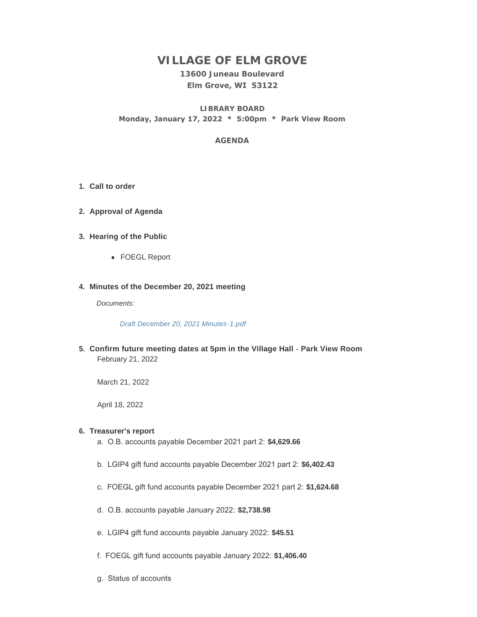# **VILLAGE OF ELM GROVE**

**13600 Juneau Boulevard Elm Grove, WI 53122**

**LIBRARY BOARD Monday, January 17, 2022 \* 5:00pm \* Park View Room**

## **AGENDA**

- **Call to order 1.**
- **Approval of Agenda 2.**
- **Hearing of the Public 3.**
	- FOEGL Report

### **Minutes of the December 20, 2021 meeting 4.**

*Documents:*

*[Draft December 20, 2021 Minutes-1.pdf](https://elmgrovewi.org/AgendaCenter/ViewFile/Item/11384?fileID=17717)*

**Confirm future meeting dates at 5pm in the Village Hall - Park View Room 5.** February 21, 2022

March 21, 2022

April 18, 2022

## **Treasurer's report 6.**

- a. O.B. accounts payable December 2021 part 2: **\$4,629.66**
- b. LGIP4 gift fund accounts payable December 2021 part 2: **\$6,402.43**
- c. FOEGL gift fund accounts payable December 2021 part 2: **\$1,624.68**
- d. O.B. accounts payable January 2022: **\$2,738.98**
- e. LGIP4 gift fund accounts payable January 2022: **\$45.51**
- f. FOEGL gift fund accounts payable January 2022: **\$1,406.40**
- g. Status of accounts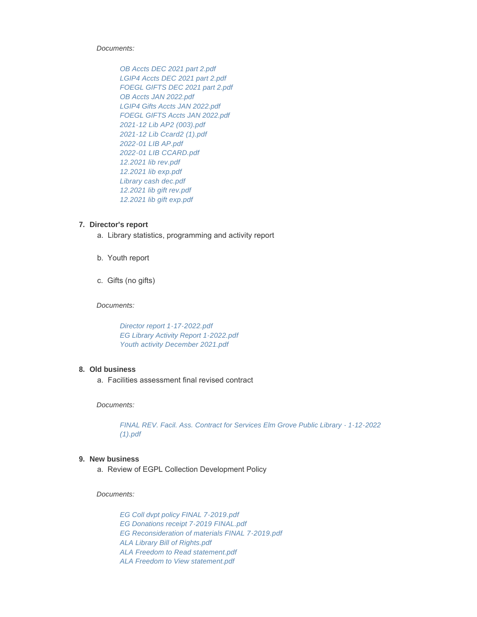*Documents:*

*[OB Accts DEC 2021 part 2.pdf](https://elmgrovewi.org/AgendaCenter/ViewFile/Item/11416?fileID=17776) [LGIP4 Accts DEC 2021 part 2.pdf](https://elmgrovewi.org/AgendaCenter/ViewFile/Item/11416?fileID=17777) [FOEGL GIFTS DEC 2021 part 2.pdf](https://elmgrovewi.org/AgendaCenter/ViewFile/Item/11416?fileID=17778) [OB Accts JAN 2022.pdf](https://elmgrovewi.org/AgendaCenter/ViewFile/Item/11416?fileID=17779) [LGIP4 Gifts Accts JAN 2022.pdf](https://elmgrovewi.org/AgendaCenter/ViewFile/Item/11416?fileID=17780) [FOEGL GIFTS Accts JAN 2022.pdf](https://elmgrovewi.org/AgendaCenter/ViewFile/Item/11416?fileID=17781) [2021-12 Lib AP2 \(003\).pdf](https://elmgrovewi.org/AgendaCenter/ViewFile/Item/11416?fileID=17782) [2021-12 Lib Ccard2 \(1\).pdf](https://elmgrovewi.org/AgendaCenter/ViewFile/Item/11416?fileID=17783) [2022-01 LIB AP.pdf](https://elmgrovewi.org/AgendaCenter/ViewFile/Item/11416?fileID=17784) [2022-01 LIB CCARD.pdf](https://elmgrovewi.org/AgendaCenter/ViewFile/Item/11416?fileID=17785) [12.2021 lib rev.pdf](https://elmgrovewi.org/AgendaCenter/ViewFile/Item/11416?fileID=17786) [12.2021 lib exp.pdf](https://elmgrovewi.org/AgendaCenter/ViewFile/Item/11416?fileID=17787) [Library cash dec.pdf](https://elmgrovewi.org/AgendaCenter/ViewFile/Item/11416?fileID=17788) [12.2021 lib gift rev.pdf](https://elmgrovewi.org/AgendaCenter/ViewFile/Item/11416?fileID=17789) [12.2021 lib gift exp.pdf](https://elmgrovewi.org/AgendaCenter/ViewFile/Item/11416?fileID=17790)*

#### **Director's report 7.**

- a. Library statistics, programming and activity report
- b. Youth report
- c. Gifts (no gifts)

*Documents:*

*[Director report 1-17-2022.pdf](https://elmgrovewi.org/AgendaCenter/ViewFile/Item/11417?fileID=17791) [EG Library Activity Report 1-2022.pdf](https://elmgrovewi.org/AgendaCenter/ViewFile/Item/11417?fileID=17792) [Youth activity December 2021.pdf](https://elmgrovewi.org/AgendaCenter/ViewFile/Item/11417?fileID=17793)*

#### **Old business 8.**

a. Facilities assessment final revised contract

*Documents:*

*[FINAL REV. Facil. Ass. Contract for Services Elm Grove Public Library - 1-12-2022](https://elmgrovewi.org/AgendaCenter/ViewFile/Item/11420?fileID=17801)  (1).pdf*

#### **New business 9.**

a. Review of EGPL Collection Development Policy

*Documents:*

*[EG Coll dvpt policy FINAL 7-2019.pdf](https://elmgrovewi.org/AgendaCenter/ViewFile/Item/11419?fileID=17795) [EG Donations receipt 7-2019 FINAL.pdf](https://elmgrovewi.org/AgendaCenter/ViewFile/Item/11419?fileID=17796) [EG Reconsideration of materials FINAL 7-2019.pdf](https://elmgrovewi.org/AgendaCenter/ViewFile/Item/11419?fileID=17797) [ALA Library Bill of Rights.pdf](https://elmgrovewi.org/AgendaCenter/ViewFile/Item/11419?fileID=17798) [ALA Freedom to Read statement.pdf](https://elmgrovewi.org/AgendaCenter/ViewFile/Item/11419?fileID=17799) [ALA Freedom to View statement.pdf](https://elmgrovewi.org/AgendaCenter/ViewFile/Item/11419?fileID=17800)*